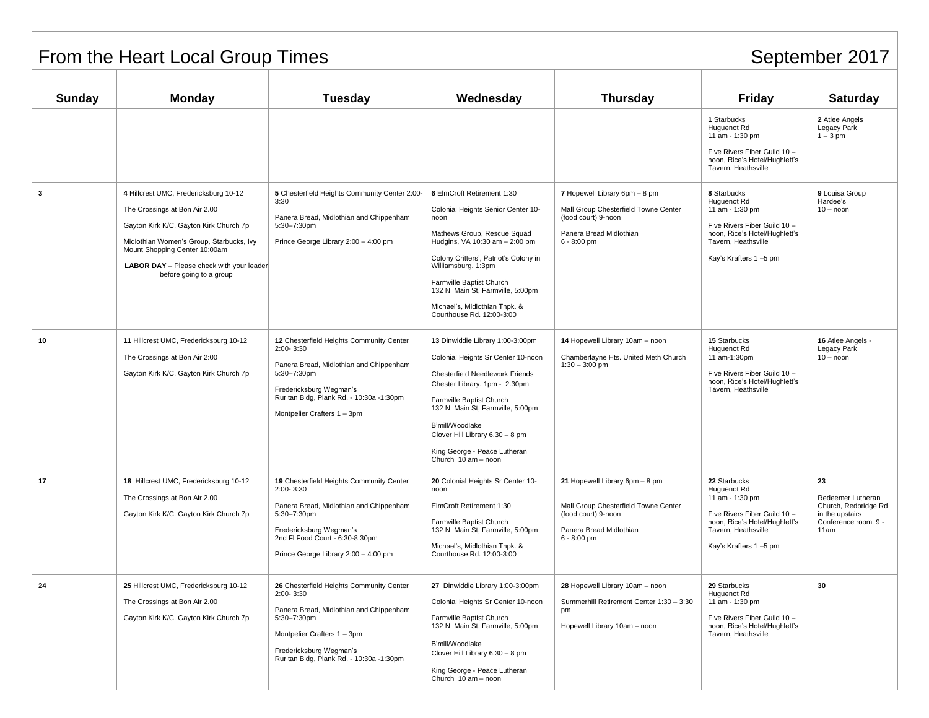## From the Heart Local Group Times September 2017

| Sunday | Monday                                                                                                                                                                                                                                                                       | <b>Tuesday</b>                                                                                                                                                                                                            | Wednesday                                                                                                                                                                                                                                                                                                                               | <b>Thursday</b>                                                                                                                           | Friday                                                                                                                                                          | <b>Saturday</b>                                                                                    |
|--------|------------------------------------------------------------------------------------------------------------------------------------------------------------------------------------------------------------------------------------------------------------------------------|---------------------------------------------------------------------------------------------------------------------------------------------------------------------------------------------------------------------------|-----------------------------------------------------------------------------------------------------------------------------------------------------------------------------------------------------------------------------------------------------------------------------------------------------------------------------------------|-------------------------------------------------------------------------------------------------------------------------------------------|-----------------------------------------------------------------------------------------------------------------------------------------------------------------|----------------------------------------------------------------------------------------------------|
|        |                                                                                                                                                                                                                                                                              |                                                                                                                                                                                                                           |                                                                                                                                                                                                                                                                                                                                         |                                                                                                                                           | 1 Starbucks<br>Huguenot Rd<br>11 am - 1:30 pm<br>Five Rivers Fiber Guild 10 -<br>noon, Rice's Hotel/Hughlett's<br>Tavern, Heathsville                           | 2 Atlee Angels<br>Legacy Park<br>$1 - 3$ pm                                                        |
| 3      | 4 Hillcrest UMC, Fredericksburg 10-12<br>The Crossings at Bon Air 2.00<br>Gayton Kirk K/C. Gayton Kirk Church 7p<br>Midlothian Women's Group, Starbucks, Ivy<br>Mount Shopping Center 10:00am<br><b>LABOR DAY</b> - Please check with your leader<br>before going to a group | 5 Chesterfield Heights Community Center 2:00-<br>3:30<br>Panera Bread, Midlothian and Chippenham<br>5:30-7:30pm<br>Prince George Library 2:00 - 4:00 pm                                                                   | 6 ElmCroft Retirement 1:30<br>Colonial Heights Senior Center 10-<br>noon<br>Mathews Group, Rescue Squad<br>Hudgins, VA 10:30 am - 2:00 pm<br>Colony Critters', Patriot's Colony in<br>Williamsburg. 1:3pm<br>Farmville Baptist Church<br>132 N Main St, Farmville, 5:00pm<br>Michael's, Midlothian Tnpk. &<br>Courthouse Rd. 12:00-3:00 | 7 Hopewell Library 6pm - 8 pm<br>Mall Group Chesterfield Towne Center<br>(food court) 9-noon<br>Panera Bread Midlothian<br>$6 - 8:00$ pm  | 8 Starbucks<br>Huquenot Rd<br>11 am - 1:30 pm<br>Five Rivers Fiber Guild 10 -<br>noon, Rice's Hotel/Hughlett's<br>Tavern, Heathsville<br>Kay's Krafters 1-5 pm  | 9 Louisa Group<br>Hardee's<br>$10 -$ noon                                                          |
| 10     | 11 Hillcrest UMC, Fredericksburg 10-12<br>The Crossings at Bon Air 2:00<br>Gayton Kirk K/C. Gayton Kirk Church 7p                                                                                                                                                            | 12 Chesterfield Heights Community Center<br>$2:00 - 3:30$<br>Panera Bread, Midlothian and Chippenham<br>5:30-7:30pm<br>Fredericksburg Wegman's<br>Ruritan Bldg, Plank Rd. - 10:30a -1:30pm<br>Montpelier Crafters 1 - 3pm | 13 Dinwiddie Library 1:00-3:00pm<br>Colonial Heights Sr Center 10-noon<br><b>Chesterfield Needlework Friends</b><br>Chester Library. 1pm - 2.30pm<br>Farmville Baptist Church<br>132 N Main St, Farmville, 5:00pm<br>B'mill/Woodlake<br>Clover Hill Library 6.30 - 8 pm<br>King George - Peace Lutheran<br>Church 10 am - noon          | 14 Hopewell Library 10am - noon<br>Chamberlayne Hts. United Meth Church<br>$1:30 - 3:00$ pm                                               | 15 Starbucks<br>Huguenot Rd<br>11 am-1:30pm<br>Five Rivers Fiber Guild 10 -<br>noon, Rice's Hotel/Hughlett's<br>Tavern, Heathsville                             | 16 Atlee Angels -<br>Legacy Park<br>$10 -$ noon                                                    |
| 17     | 18 Hillcrest UMC, Fredericksburg 10-12<br>The Crossings at Bon Air 2.00<br>Gayton Kirk K/C. Gayton Kirk Church 7p                                                                                                                                                            | 19 Chesterfield Heights Community Center<br>2:00-3:30<br>Panera Bread, Midlothian and Chippenham<br>5:30-7:30pm<br>Fredericksburg Wegman's<br>2nd FI Food Court - 6:30-8:30pm<br>Prince George Library 2:00 - 4:00 pm     | 20 Colonial Heights Sr Center 10-<br>noon<br>ElmCroft Retirement 1:30<br>Farmville Baptist Church<br>132 N Main St, Farmville, 5:00pm<br>Michael's, Midlothian Tnpk, &<br>Courthouse Rd. 12:00-3:00                                                                                                                                     | 21 Hopewell Library 6pm - 8 pm<br>Mall Group Chesterfield Towne Center<br>(food court) 9-noon<br>Panera Bread Midlothian<br>$6 - 8:00$ pm | 22 Starbucks<br>Huguenot Rd<br>11 am - 1:30 pm<br>Five Rivers Fiber Guild 10 -<br>noon, Rice's Hotel/Hughlett's<br>Tavern, Heathsville<br>Kay's Krafters 1-5 pm | 23<br>Redeemer Lutheran<br>Church, Redbridge Rd<br>in the upstairs<br>Conference room. 9 -<br>11am |
| 24     | 25 Hillcrest UMC, Fredericksburg 10-12<br>The Crossings at Bon Air 2.00<br>Gayton Kirk K/C. Gayton Kirk Church 7p                                                                                                                                                            | 26 Chesterfield Heights Community Center<br>2:00-3:30<br>Panera Bread, Midlothian and Chippenham<br>5:30-7:30pm<br>Montpelier Crafters 1 - 3pm<br>Fredericksburg Wegman's<br>Ruritan Bldg, Plank Rd. - 10:30a -1:30pm     | 27 Dinwiddie Library 1:00-3:00pm<br>Colonial Heights Sr Center 10-noon<br>Farmville Baptist Church<br>132 N Main St, Farmville, 5:00pm<br>B'mill/Woodlake<br>Clover Hill Library 6.30 - 8 pm<br>King George - Peace Lutheran<br>Church 10 am - noon                                                                                     | 28 Hopewell Library 10am - noon<br>Summerhill Retirement Center 1:30 - 3:30<br>pm<br>Hopewell Library 10am - noon                         | 29 Starbucks<br>Huguenot Rd<br>11 am - 1:30 pm<br>Five Rivers Fiber Guild 10 -<br>noon, Rice's Hotel/Hughlett's<br>Tavern, Heathsville                          | 30                                                                                                 |